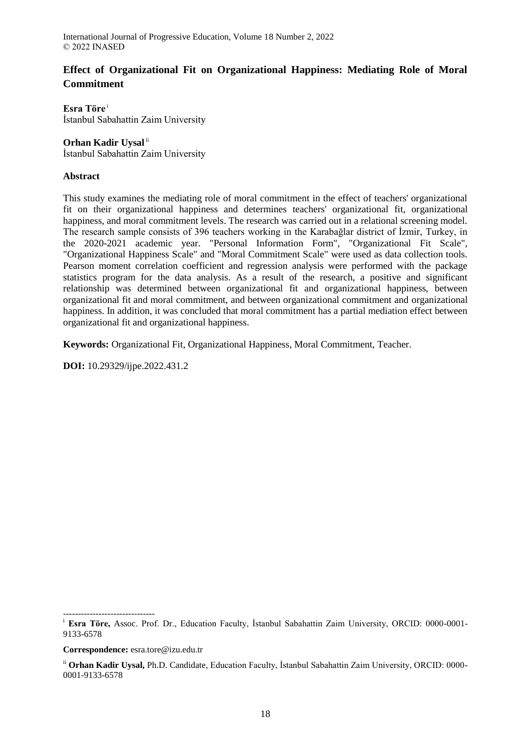# **Effect of Organizational Fit on Organizational Happiness: Mediating Role of Moral Commitment**

**Esra Töre** <sup>i</sup> İstanbul Sabahattin Zaim University

### **Orhan Kadir Uysal**<sup>ii</sup>

İstanbul Sabahattin Zaim University

### **Abstract**

This study examines the mediating role of moral commitment in the effect of teachers' organizational fit on their organizational happiness and determines teachers' organizational fit, organizational happiness, and moral commitment levels. The research was carried out in a relational screening model. The research sample consists of 396 teachers working in the Karabağlar district of İzmir, Turkey, in the 2020-2021 academic year. "Personal Information Form", "Organizational Fit Scale", "Organizational Happiness Scale" and "Moral Commitment Scale" were used as data collection tools. Pearson moment correlation coefficient and regression analysis were performed with the package statistics program for the data analysis. As a result of the research, a positive and significant relationship was determined between organizational fit and organizational happiness, between organizational fit and moral commitment, and between organizational commitment and organizational happiness. In addition, it was concluded that moral commitment has a partial mediation effect between organizational fit and organizational happiness.

**Keywords:** Organizational Fit, Organizational Happiness, Moral Commitment, Teacher.

**DOI:** 10.29329/ijpe.2022.431.2

<sup>-------------------------------</sup> <sup>i</sup> **Esra Töre,** Assoc. Prof. Dr., Education Faculty, İstanbul Sabahattin Zaim University, ORCID: 0000-0001-9133-6578

**Correspondence:** esra.tore@izu.edu.tr

ii **Orhan Kadir Uysal,** Ph.D. Candidate, Education Faculty, İstanbul Sabahattin Zaim University, ORCID: 0000- 0001-9133-6578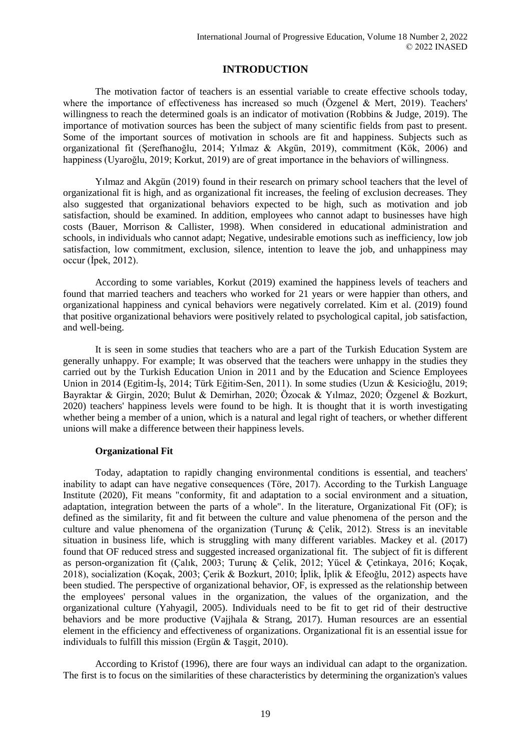## **INTRODUCTION**

The motivation factor of teachers is an essential variable to create effective schools today, where the importance of effectiveness has increased so much (Özgenel & Mert, 2019). Teachers' willingness to reach the determined goals is an indicator of motivation (Robbins & Judge, 2019). The importance of motivation sources has been the subject of many scientific fields from past to present. Some of the important sources of motivation in schools are fit and happiness. Subjects such as organizational fit (Şerefhanoğlu, 2014; Yılmaz & Akgün, 2019), commitment (Kök, 2006) and happiness (Uyaroğlu, 2019; Korkut, 2019) are of great importance in the behaviors of willingness.

Yılmaz and Akgün (2019) found in their research on primary school teachers that the level of organizational fit is high, and as organizational fit increases, the feeling of exclusion decreases. They also suggested that organizational behaviors expected to be high, such as motivation and job satisfaction, should be examined. In addition, employees who cannot adapt to businesses have high costs (Bauer, Morrison & Callister, 1998). When considered in educational administration and schools, in individuals who cannot adapt; Negative, undesirable emotions such as inefficiency, low job satisfaction, low commitment, exclusion, silence, intention to leave the job, and unhappiness may occur (İpek, 2012).

According to some variables, Korkut (2019) examined the happiness levels of teachers and found that married teachers and teachers who worked for 21 years or were happier than others, and organizational happiness and cynical behaviors were negatively correlated. Kim et al. (2019) found that positive organizational behaviors were positively related to psychological capital, job satisfaction, and well-being.

It is seen in some studies that teachers who are a part of the Turkish Education System are generally unhappy. For example; It was observed that the teachers were unhappy in the studies they carried out by the Turkish Education Union in 2011 and by the Education and Science Employees Union in 2014 (Egitim-İş, 2014; Türk Eğitim-Sen, 2011). In some studies (Uzun & Kesicioğlu, 2019; Bayraktar & Girgin, 2020; Bulut & Demirhan, 2020; Özocak & Yılmaz, 2020; Özgenel & Bozkurt, 2020) teachers' happiness levels were found to be high. It is thought that it is worth investigating whether being a member of a union, which is a natural and legal right of teachers, or whether different unions will make a difference between their happiness levels.

#### **Organizational Fit**

Today, adaptation to rapidly changing environmental conditions is essential, and teachers' inability to adapt can have negative consequences (Töre, 2017). According to the Turkish Language Institute (2020), Fit means "conformity, fit and adaptation to a social environment and a situation, adaptation, integration between the parts of a whole". In the literature, Organizational Fit (OF); is defined as the similarity, fit and fit between the culture and value phenomena of the person and the culture and value phenomena of the organization (Turunç & Çelik, 2012). Stress is an inevitable situation in business life, which is struggling with many different variables. Mackey et al. (2017) found that OF reduced stress and suggested increased organizational fit. The subject of fit is different as person-organization fit (Çalık, 2003; Turunç & Çelik, 2012; Yücel & Çetinkaya, 2016; Koçak, 2018), socialization (Koçak, 2003; Çerik & Bozkurt, 2010; İplik, İplik & Efeoğlu, 2012) aspects have been studied. The perspective of organizational behavior, OF, is expressed as the relationship between the employees' personal values in the organization, the values of the organization, and the organizational culture (Yahyagil, 2005). Individuals need to be fit to get rid of their destructive behaviors and be more productive (Vajjhala & Strang, 2017). Human resources are an essential element in the efficiency and effectiveness of organizations. Organizational fit is an essential issue for individuals to fulfill this mission (Ergün & Taşgit, 2010).

According to Kristof (1996), there are four ways an individual can adapt to the organization. The first is to focus on the similarities of these characteristics by determining the organization's values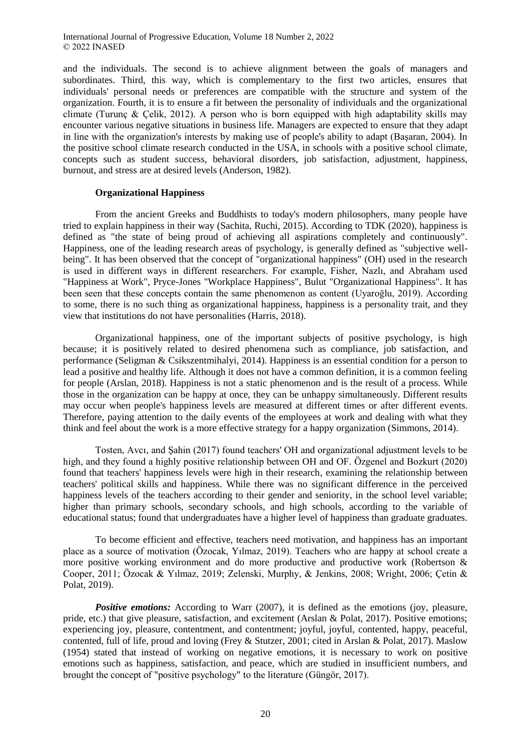and the individuals. The second is to achieve alignment between the goals of managers and subordinates. Third, this way, which is complementary to the first two articles, ensures that individuals' personal needs or preferences are compatible with the structure and system of the organization. Fourth, it is to ensure a fit between the personality of individuals and the organizational climate (Turunc & Celik, 2012). A person who is born equipped with high adaptability skills may encounter various negative situations in business life. Managers are expected to ensure that they adapt in line with the organization's interests by making use of people's ability to adapt (Başaran, 2004). In the positive school climate research conducted in the USA, in schools with a positive school climate, concepts such as student success, behavioral disorders, job satisfaction, adjustment, happiness, burnout, and stress are at desired levels (Anderson, 1982).

#### **Organizational Happiness**

From the ancient Greeks and Buddhists to today's modern philosophers, many people have tried to explain happiness in their way (Sachita, Ruchi, 2015). According to TDK (2020), happiness is defined as "the state of being proud of achieving all aspirations completely and continuously". Happiness, one of the leading research areas of psychology, is generally defined as "subjective wellbeing". It has been observed that the concept of "organizational happiness" (OH) used in the research is used in different ways in different researchers. For example, Fisher, Nazlı, and Abraham used "Happiness at Work", Pryce-Jones "Workplace Happiness", Bulut "Organizational Happiness". It has been seen that these concepts contain the same phenomenon as content (Uyaroğlu, 2019). According to some, there is no such thing as organizational happiness, happiness is a personality trait, and they view that institutions do not have personalities (Harris, 2018).

Organizational happiness, one of the important subjects of positive psychology, is high because; it is positively related to desired phenomena such as compliance, job satisfaction, and performance (Seligman & Csikszentmihalyi, 2014). Happiness is an essential condition for a person to lead a positive and healthy life. Although it does not have a common definition, it is a common feeling for people (Arslan, 2018). Happiness is not a static phenomenon and is the result of a process. While those in the organization can be happy at once, they can be unhappy simultaneously. Different results may occur when people's happiness levels are measured at different times or after different events. Therefore, paying attention to the daily events of the employees at work and dealing with what they think and feel about the work is a more effective strategy for a happy organization (Simmons, 2014).

Tosten, Avcı, and Şahin (2017) found teachers' OH and organizational adjustment levels to be high, and they found a highly positive relationship between OH and OF. Özgenel and Bozkurt (2020) found that teachers' happiness levels were high in their research, examining the relationship between teachers' political skills and happiness. While there was no significant difference in the perceived happiness levels of the teachers according to their gender and seniority, in the school level variable; higher than primary schools, secondary schools, and high schools, according to the variable of educational status; found that undergraduates have a higher level of happiness than graduate graduates.

To become efficient and effective, teachers need motivation, and happiness has an important place as a source of motivation (Özocak, Yılmaz, 2019). Teachers who are happy at school create a more positive working environment and do more productive and productive work (Robertson & Cooper, 2011; Özocak & Yılmaz, 2019; Zelenski, Murphy, & Jenkins, 2008; Wright, 2006; Çetin & Polat, 2019).

*Positive emotions:* According to Warr (2007), it is defined as the emotions (joy, pleasure, pride, etc.) that give pleasure, satisfaction, and excitement (Arslan & Polat, 2017). Positive emotions; experiencing joy, pleasure, contentment, and contentment; joyful, joyful, contented, happy, peaceful, contented, full of life, proud and loving (Frey & Stutzer, 2001; cited in Arslan & Polat, 2017). Maslow (1954) stated that instead of working on negative emotions, it is necessary to work on positive emotions such as happiness, satisfaction, and peace, which are studied in insufficient numbers, and brought the concept of "positive psychology" to the literature (Güngör, 2017).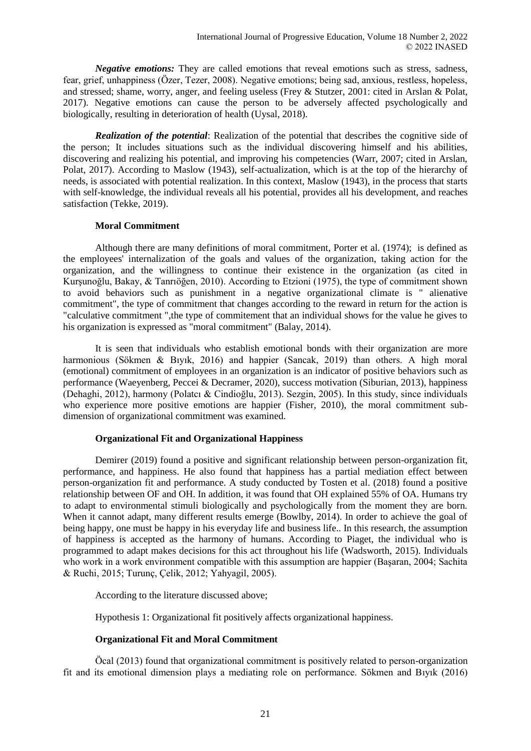*Negative emotions:* They are called emotions that reveal emotions such as stress, sadness, fear, grief, unhappiness (Özer, Tezer, 2008). Negative emotions; being sad, anxious, restless, hopeless, and stressed; shame, worry, anger, and feeling useless (Frey & Stutzer, 2001: cited in Arslan & Polat, 2017). Negative emotions can cause the person to be adversely affected psychologically and biologically, resulting in deterioration of health (Uysal, 2018).

*Realization of the potential*: Realization of the potential that describes the cognitive side of the person; It includes situations such as the individual discovering himself and his abilities, discovering and realizing his potential, and improving his competencies (Warr, 2007; cited in Arslan, Polat, 2017). According to Maslow (1943), self-actualization, which is at the top of the hierarchy of needs, is associated with potential realization. In this context, Maslow (1943), in the process that starts with self-knowledge, the individual reveals all his potential, provides all his development, and reaches satisfaction (Tekke, 2019).

### **Moral Commitment**

Although there are many definitions of moral commitment, Porter et al. (1974); is defined as the employees' internalization of the goals and values of the organization, taking action for the organization, and the willingness to continue their existence in the organization (as cited in Kurşunoğlu, Bakay, & Tanrıöğen, 2010). According to Etzioni (1975), the type of commitment shown to avoid behaviors such as punishment in a negative organizational climate is " alienative commitment", the type of commitment that changes according to the reward in return for the action is "calculative commitment ",the type of commitement that an individual shows for the value he gives to his organization is expressed as "moral commitment" (Balay, 2014).

It is seen that individuals who establish emotional bonds with their organization are more harmonious (Sökmen & Bıyık, 2016) and happier (Sancak, 2019) than others. A high moral (emotional) commitment of employees in an organization is an indicator of positive behaviors such as performance (Waeyenberg, Peccei & Decramer, 2020), success motivation (Siburian, 2013), happiness (Dehaghi, 2012), harmony (Polatcı & Cindioğlu, 2013). Sezgin, 2005). In this study, since individuals who experience more positive emotions are happier (Fisher, 2010), the moral commitment subdimension of organizational commitment was examined.

## **Organizational Fit and Organizational Happiness**

Demirer (2019) found a positive and significant relationship between person-organization fit, performance, and happiness. He also found that happiness has a partial mediation effect between person-organization fit and performance. A study conducted by Tosten et al. (2018) found a positive relationship between OF and OH. In addition, it was found that OH explained 55% of OA. Humans try to adapt to environmental stimuli biologically and psychologically from the moment they are born. When it cannot adapt, many different results emerge (Bowlby, 2014). In order to achieve the goal of being happy, one must be happy in his everyday life and business life.. In this research, the assumption of happiness is accepted as the harmony of humans. According to Piaget, the individual who is programmed to adapt makes decisions for this act throughout his life (Wadsworth, 2015). Individuals who work in a work environment compatible with this assumption are happier (Basaran, 2004; Sachita & Ruchi, 2015; Turunç, Çelik, 2012; Yahyagil, 2005).

According to the literature discussed above;

Hypothesis 1: Organizational fit positively affects organizational happiness.

## **Organizational Fit and Moral Commitment**

Öcal (2013) found that organizational commitment is positively related to person-organization fit and its emotional dimension plays a mediating role on performance. Sökmen and Bıyık (2016)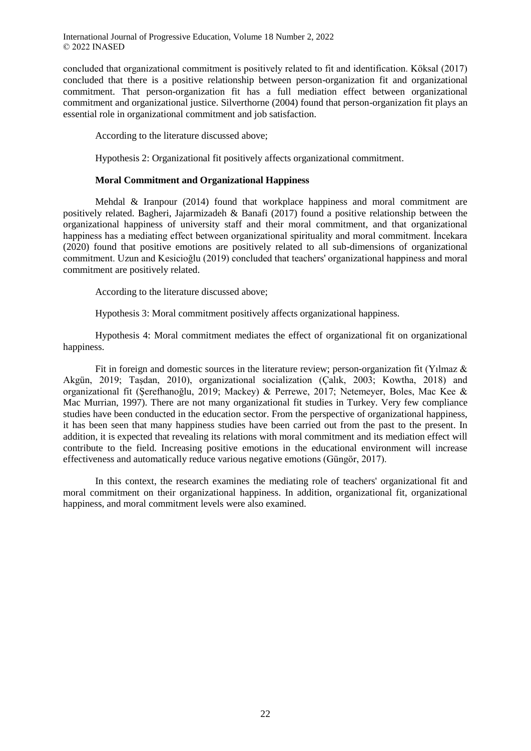concluded that organizational commitment is positively related to fit and identification. Köksal (2017) concluded that there is a positive relationship between person-organization fit and organizational commitment. That person-organization fit has a full mediation effect between organizational commitment and organizational justice. Silverthorne (2004) found that person-organization fit plays an essential role in organizational commitment and job satisfaction.

According to the literature discussed above;

Hypothesis 2: Organizational fit positively affects organizational commitment.

#### **Moral Commitment and Organizational Happiness**

Mehdal & Iranpour (2014) found that workplace happiness and moral commitment are positively related. Bagheri, Jajarmizadeh & Banafi (2017) found a positive relationship between the organizational happiness of university staff and their moral commitment, and that organizational happiness has a mediating effect between organizational spirituality and moral commitment. İncekara (2020) found that positive emotions are positively related to all sub-dimensions of organizational commitment. Uzun and Kesicioğlu (2019) concluded that teachers' organizational happiness and moral commitment are positively related.

According to the literature discussed above;

Hypothesis 3: Moral commitment positively affects organizational happiness.

Hypothesis 4: Moral commitment mediates the effect of organizational fit on organizational happiness.

Fit in foreign and domestic sources in the literature review; person-organization fit (Yılmaz & Akgün, 2019; Taşdan, 2010), organizational socialization (Çalık, 2003; Kowtha, 2018) and organizational fit (Şerefhanoğlu, 2019; Mackey) & Perrewe, 2017; Netemeyer, Boles, Mac Kee & Mac Murrian, 1997). There are not many organizational fit studies in Turkey. Very few compliance studies have been conducted in the education sector. From the perspective of organizational happiness, it has been seen that many happiness studies have been carried out from the past to the present. In addition, it is expected that revealing its relations with moral commitment and its mediation effect will contribute to the field. Increasing positive emotions in the educational environment will increase effectiveness and automatically reduce various negative emotions (Güngör, 2017).

In this context, the research examines the mediating role of teachers' organizational fit and moral commitment on their organizational happiness. In addition, organizational fit, organizational happiness, and moral commitment levels were also examined.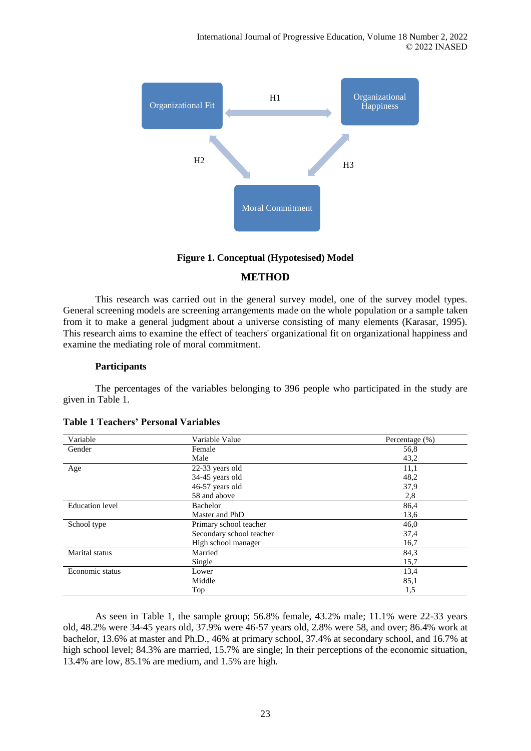

### **Figure 1. Conceptual (Hypotesised) Model**

## **METHOD**

This research was carried out in the general survey model, one of the survey model types. General screening models are screening arrangements made on the whole population or a sample taken from it to make a general judgment about a universe consisting of many elements (Karasar, 1995). This research aims to examine the effect of teachers' organizational fit on organizational happiness and examine the mediating role of moral commitment.

#### **Participants**

The percentages of the variables belonging to 396 people who participated in the study are given in Table 1.

| Variable               | Variable Value           | Percentage (%) |  |  |
|------------------------|--------------------------|----------------|--|--|
| Gender                 | Female                   | 56,8           |  |  |
|                        | Male                     | 43,2           |  |  |
| Age                    | 22-33 years old          | 11,1           |  |  |
|                        | 34-45 years old          | 48,2           |  |  |
|                        | 46-57 years old          | 37,9           |  |  |
|                        | 58 and above             | 2,8            |  |  |
| <b>Education</b> level | Bachelor                 | 86,4           |  |  |
|                        | Master and PhD           | 13,6           |  |  |
| School type            | Primary school teacher   | 46,0           |  |  |
|                        | Secondary school teacher | 37,4           |  |  |
|                        | High school manager      | 16,7           |  |  |
| Marital status         | Married                  | 84,3           |  |  |
|                        | Single                   | 15,7           |  |  |
| Economic status        | Lower                    | 13,4           |  |  |
|                        | Middle                   | 85,1           |  |  |
|                        | Top                      | 1,5            |  |  |

**Table 1 Teachers' Personal Variables**

As seen in Table 1, the sample group; 56.8% female, 43.2% male; 11.1% were 22-33 years old, 48.2% were 34-45 years old, 37.9% were 46-57 years old, 2.8% were 58, and over; 86.4% work at bachelor, 13.6% at master and Ph.D., 46% at primary school, 37.4% at secondary school, and 16.7% at high school level; 84.3% are married, 15.7% are single; In their perceptions of the economic situation, 13.4% are low, 85.1% are medium, and 1.5% are high.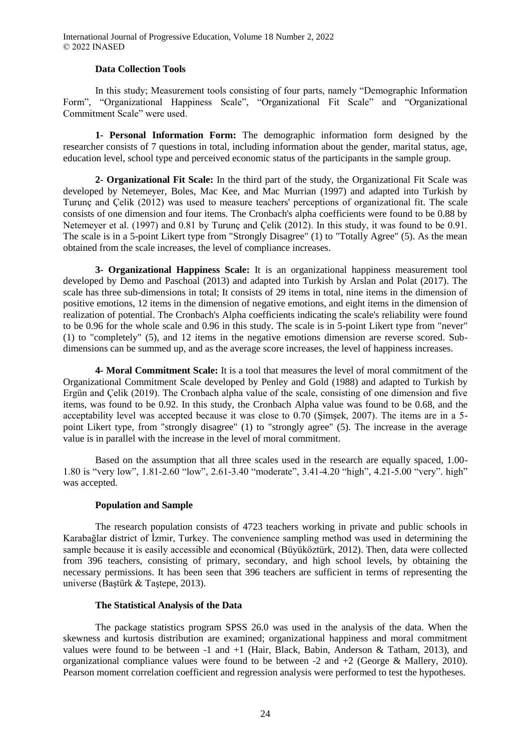#### **Data Collection Tools**

In this study; Measurement tools consisting of four parts, namely "Demographic Information Form", "Organizational Happiness Scale", "Organizational Fit Scale" and "Organizational Commitment Scale" were used.

**1- Personal Information Form:** The demographic information form designed by the researcher consists of 7 questions in total, including information about the gender, marital status, age, education level, school type and perceived economic status of the participants in the sample group.

**2- Organizational Fit Scale:** In the third part of the study, the Organizational Fit Scale was developed by Netemeyer, Boles, Mac Kee, and Mac Murrian (1997) and adapted into Turkish by Turunç and Çelik (2012) was used to measure teachers' perceptions of organizational fit. The scale consists of one dimension and four items. The Cronbach's alpha coefficients were found to be 0.88 by Netemeyer et al. (1997) and 0.81 by Turunç and Çelik (2012). In this study, it was found to be 0.91. The scale is in a 5-point Likert type from "Strongly Disagree" (1) to "Totally Agree" (5). As the mean obtained from the scale increases, the level of compliance increases.

**3- Organizational Happiness Scale:** It is an organizational happiness measurement tool developed by Demo and Paschoal (2013) and adapted into Turkish by Arslan and Polat (2017). The scale has three sub-dimensions in total; It consists of 29 items in total, nine items in the dimension of positive emotions, 12 items in the dimension of negative emotions, and eight items in the dimension of realization of potential. The Cronbach's Alpha coefficients indicating the scale's reliability were found to be 0.96 for the whole scale and 0.96 in this study. The scale is in 5-point Likert type from "never" (1) to "completely" (5), and 12 items in the negative emotions dimension are reverse scored. Subdimensions can be summed up, and as the average score increases, the level of happiness increases.

**4- Moral Commitment Scale:** It is a tool that measures the level of moral commitment of the Organizational Commitment Scale developed by Penley and Gold (1988) and adapted to Turkish by Ergün and Çelik (2019). The Cronbach alpha value of the scale, consisting of one dimension and five items, was found to be 0.92. In this study, the Cronbach Alpha value was found to be 0.68, and the acceptability level was accepted because it was close to 0.70 (Şimşek, 2007). The items are in a 5 point Likert type, from "strongly disagree" (1) to "strongly agree" (5). The increase in the average value is in parallel with the increase in the level of moral commitment.

Based on the assumption that all three scales used in the research are equally spaced, 1.00- 1.80 is "very low", 1.81-2.60 "low", 2.61-3.40 "moderate", 3.41-4.20 "high", 4.21-5.00 "very". high" was accepted.

#### **Population and Sample**

The research population consists of 4723 teachers working in private and public schools in Karabağlar district of İzmir, Turkey. The convenience sampling method was used in determining the sample because it is easily accessible and economical (Büyüköztürk, 2012). Then, data were collected from 396 teachers, consisting of primary, secondary, and high school levels, by obtaining the necessary permissions. It has been seen that 396 teachers are sufficient in terms of representing the universe (Baştürk & Taştepe, 2013).

#### **The Statistical Analysis of the Data**

The package statistics program SPSS 26.0 was used in the analysis of the data. When the skewness and kurtosis distribution are examined; organizational happiness and moral commitment values were found to be between -1 and  $+1$  (Hair, Black, Babin, Anderson & Tatham, 2013), and organizational compliance values were found to be between -2 and  $+2$  (George & Mallery, 2010). Pearson moment correlation coefficient and regression analysis were performed to test the hypotheses.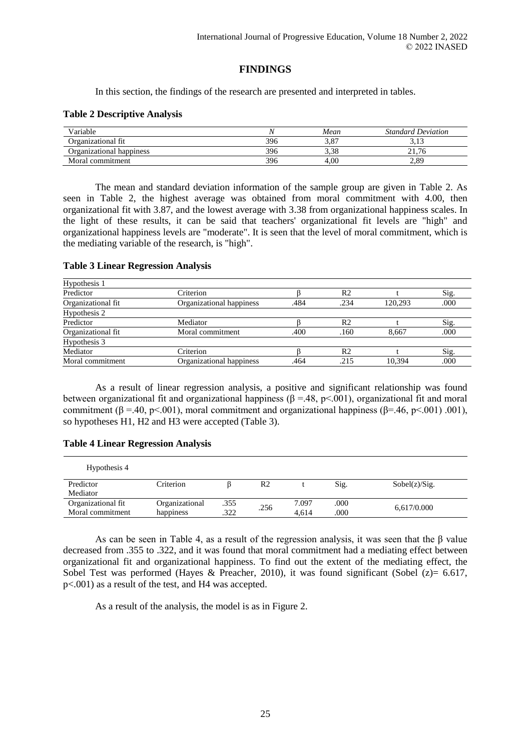## **FINDINGS**

In this section, the findings of the research are presented and interpreted in tables.

#### **Table 2 Descriptive Analysis**

| Variable                 |     | Mean | <b>Standard Deviation</b> |
|--------------------------|-----|------|---------------------------|
| Organizational fit       | 396 | 3.87 |                           |
| Organizational happiness | 396 | 3,38 |                           |
| Moral commitment         | 396 | 4.00 | 2.89                      |

The mean and standard deviation information of the sample group are given in Table 2. As seen in Table 2, the highest average was obtained from moral commitment with 4.00, then organizational fit with 3.87, and the lowest average with 3.38 from organizational happiness scales. In the light of these results, it can be said that teachers' organizational fit levels are "high" and organizational happiness levels are "moderate". It is seen that the level of moral commitment, which is the mediating variable of the research, is "high".

#### **Table 3 Linear Regression Analysis**

| Hypothesis 1       |                          |                         |      |        |      |
|--------------------|--------------------------|-------------------------|------|--------|------|
| Predictor          | Criterion                |                         | R2   |        | Sig. |
| Organizational fit | Organizational happiness | .234<br>120.293<br>.484 |      |        |      |
| Hypothesis 2       |                          |                         |      |        |      |
| Predictor          | Mediator                 |                         | R2   |        | Sig. |
| Organizational fit | Moral commitment         | .400                    | .160 | 8.667  | .000 |
| Hypothesis 3       |                          |                         |      |        |      |
| Mediator           | Criterion                |                         | R2   |        | Sig. |
| Moral commitment   | Organizational happiness | .464                    | .215 | 10.394 | .000 |

As a result of linear regression analysis, a positive and significant relationship was found between organizational fit and organizational happiness  $(\beta = 48, p < 001)$ , organizational fit and moral commitment ( $\beta = .40$ , p<.001), moral commitment and organizational happiness ( $\beta = .46$ , p<.001) .001), so hypotheses H1, H2 and H3 were accepted (Table 3).

#### **Table 4 Linear Regression Analysis**

| Hypothesis 4       |                |      |                        |      |               |
|--------------------|----------------|------|------------------------|------|---------------|
| Predictor          | Criterion      |      | R <sub>2</sub>         | Sig. | Sobel(z)/Sig. |
| Mediator           |                |      |                        |      |               |
| Organizational fit | Organizational | .355 | 7.097<br>.256<br>4.614 | .000 |               |
| Moral commitment   | happiness      | .322 |                        | .000 | 6,617/0.000   |

As can be seen in Table 4, as a result of the regression analysis, it was seen that the β value decreased from .355 to .322, and it was found that moral commitment had a mediating effect between organizational fit and organizational happiness. To find out the extent of the mediating effect, the Sobel Test was performed (Hayes & Preacher, 2010), it was found significant (Sobel  $(z) = 6.617$ , p<.001) as a result of the test, and H4 was accepted.

As a result of the analysis, the model is as in Figure 2.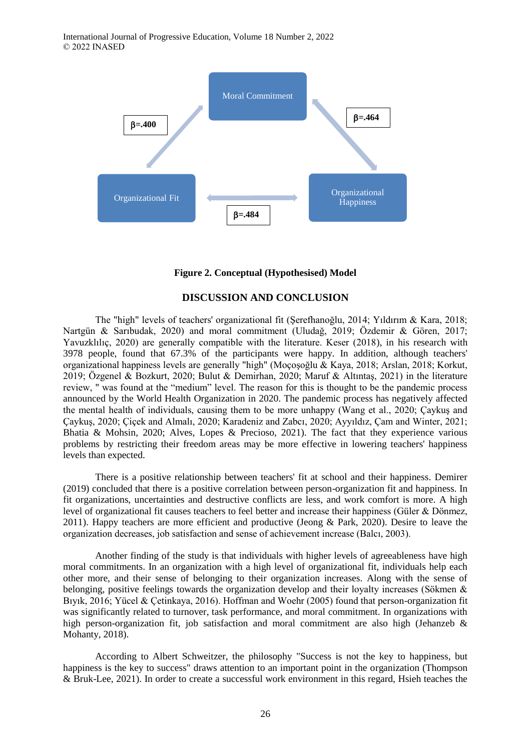

#### **Figure 2. Conceptual (Hypothesised) Model**

### **DISCUSSION AND CONCLUSION**

The "high" levels of teachers' organizational fit (Şerefhanoğlu, 2014; Yıldırım & Kara, 2018; Nartgün & Sarıbudak, 2020) and moral commitment (Uludağ, 2019; Özdemir & Gören, 2017; Yavuzklılıç, 2020) are generally compatible with the literature. Keser (2018), in his research with 3978 people, found that 67.3% of the participants were happy. In addition, although teachers' organizational happiness levels are generally "high" (Moçoşoğlu & Kaya, 2018; Arslan, 2018; Korkut, 2019; Özgenel & Bozkurt, 2020; Bulut & Demirhan, 2020; Maruf & Altıntaş, 2021) in the literature review, " was found at the "medium" level. The reason for this is thought to be the pandemic process announced by the World Health Organization in 2020. The pandemic process has negatively affected the mental health of individuals, causing them to be more unhappy (Wang et al., 2020; Çaykuş and Çaykuş, 2020; Çiçek and Almalı, 2020; Karadeniz and Zabcı, 2020; Ayyıldız, Çam and Winter, 2021; Bhatia & Mohsin, 2020; Alves, Lopes & Precioso, 2021). The fact that they experience various problems by restricting their freedom areas may be more effective in lowering teachers' happiness levels than expected.

There is a positive relationship between teachers' fit at school and their happiness. Demirer (2019) concluded that there is a positive correlation between person-organization fit and happiness. In fit organizations, uncertainties and destructive conflicts are less, and work comfort is more. A high level of organizational fit causes teachers to feel better and increase their happiness (Güler & Dönmez, 2011). Happy teachers are more efficient and productive (Jeong & Park, 2020). Desire to leave the organization decreases, job satisfaction and sense of achievement increase (Balcı, 2003).

Another finding of the study is that individuals with higher levels of agreeableness have high moral commitments. In an organization with a high level of organizational fit, individuals help each other more, and their sense of belonging to their organization increases. Along with the sense of belonging, positive feelings towards the organization develop and their loyalty increases (Sökmen & Bıyık, 2016; Yücel & Çetinkaya, 2016). Hoffman and Woehr (2005) found that person-organization fit was significantly related to turnover, task performance, and moral commitment. In organizations with high person-organization fit, job satisfaction and moral commitment are also high (Jehanzeb  $\&$ Mohanty, 2018).

According to Albert Schweitzer, the philosophy "Success is not the key to happiness, but happiness is the key to success" draws attention to an important point in the organization (Thompson & Bruk-Lee, 2021). In order to create a successful work environment in this regard, Hsieh teaches the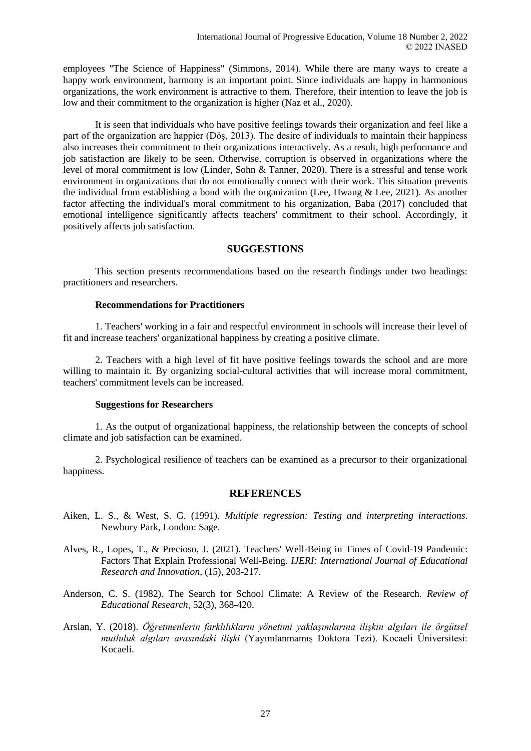employees "The Science of Happiness" (Simmons, 2014). While there are many ways to create a happy work environment, harmony is an important point. Since individuals are happy in harmonious organizations, the work environment is attractive to them. Therefore, their intention to leave the job is low and their commitment to the organization is higher (Naz et al., 2020).

It is seen that individuals who have positive feelings towards their organization and feel like a part of the organization are happier (Döş, 2013). The desire of individuals to maintain their happiness also increases their commitment to their organizations interactively. As a result, high performance and job satisfaction are likely to be seen. Otherwise, corruption is observed in organizations where the level of moral commitment is low (Linder, Sohn & Tanner, 2020). There is a stressful and tense work environment in organizations that do not emotionally connect with their work. This situation prevents the individual from establishing a bond with the organization (Lee, Hwang & Lee, 2021). As another factor affecting the individual's moral commitment to his organization, Baba (2017) concluded that emotional intelligence significantly affects teachers' commitment to their school. Accordingly, it positively affects job satisfaction.

## **SUGGESTIONS**

This section presents recommendations based on the research findings under two headings: practitioners and researchers.

#### **Recommendations for Practitioners**

1. Teachers' working in a fair and respectful environment in schools will increase their level of fit and increase teachers' organizational happiness by creating a positive climate.

2. Teachers with a high level of fit have positive feelings towards the school and are more willing to maintain it. By organizing social-cultural activities that will increase moral commitment, teachers' commitment levels can be increased.

#### **Suggestions for Researchers**

1. As the output of organizational happiness, the relationship between the concepts of school climate and job satisfaction can be examined.

2. Psychological resilience of teachers can be examined as a precursor to their organizational happiness.

#### **REFERENCES**

- Aiken, L. S., & West, S. G. (1991). *Multiple regression: Testing and interpreting interactions*. Newbury Park, London: Sage.
- Alves, R., Lopes, T., & Precioso, J. (2021). Teachers' Well-Being in Times of Covid-19 Pandemic: Factors That Explain Professional Well-Being. *IJERI: International Journal of Educational Research and Innovation*, (15), 203-217.
- Anderson, C. S. (1982). The Search for School Climate: A Review of the Research. *Review of Educational Research*, 52(3), 368-420.
- Arslan, Y. (2018). *Öğretmenlerin farklılıkların yönetimi yaklaşımlarına ilişkin algıları ile örgütsel mutluluk algıları arasındaki ilişki* (Yayımlanmamış Doktora Tezi). Kocaeli Üniversitesi: Kocaeli.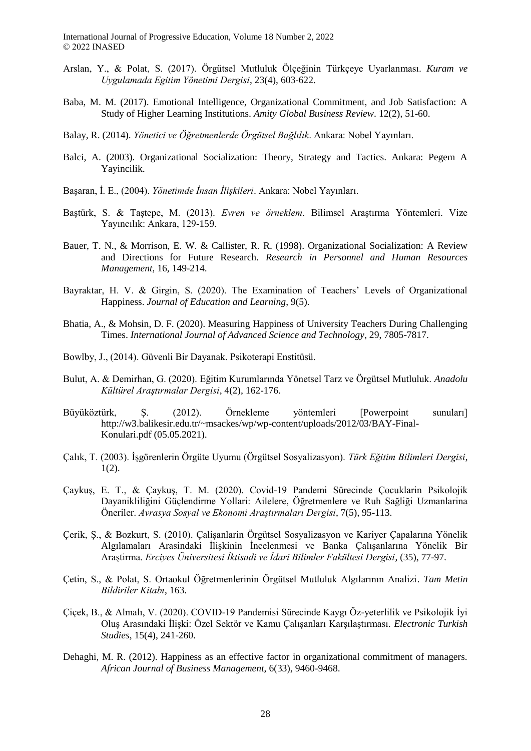- Arslan, Y., & Polat, S. (2017). Örgütsel Mutluluk Ölçeğinin Türkçeye Uyarlanması. *Kuram ve Uygulamada Egitim Yönetimi Dergisi*, 23(4), 603-622.
- Baba, M. M. (2017). Emotional Intelligence, Organizational Commitment, and Job Satisfaction: A Study of Higher Learning Institutions. *Amity Global Business Review*. 12(2), 51-60.
- Balay, R. (2014). *Yönetici ve Öğretmenlerde Örgütsel Bağlılık*. Ankara: Nobel Yayınları.
- Balci, A. (2003). Organizational Socialization: Theory, Strategy and Tactics. Ankara: Pegem A Yayincilik.
- Başaran, İ. E., (2004). *Yönetimde İnsan İlişkileri*. Ankara: Nobel Yayınları.
- Baştürk, S. & Taştepe, M. (2013). *Evren ve örneklem*. Bilimsel Araştırma Yöntemleri. Vize Yayıncılık: Ankara, 129-159.
- Bauer, T. N., & Morrison, E. W. & Callister, R. R. (1998). Organizational Socialization: A Review and Directions for Future Research. *Research in Personnel and Human Resources Management*, 16, 149-214.
- Bayraktar, H. V. & Girgin, S. (2020). The Examination of Teachers' Levels of Organizational Happiness. *Journal of Education and Learning*, 9(5).
- Bhatia, A., & Mohsin, D. F. (2020). Measuring Happiness of University Teachers During Challenging Times. *International Journal of Advanced Science and Technology*, 29, 7805-7817.
- Bowlby, J., (2014). Güvenli Bir Dayanak. Psikoterapi Enstitüsü.
- Bulut, A. & Demirhan, G. (2020). Eğitim Kurumlarında Yönetsel Tarz ve Örgütsel Mutluluk. *Anadolu Kültürel Araştırmalar Dergisi*, 4(2), 162-176.
- Büyüköztürk, Ş. (2012). Örnekleme yöntemleri [Powerpoint sunuları] http://w3.balikesir.edu.tr/~msackes/wp/wp-content/uploads/2012/03/BAY-Final-Konulari.pdf (05.05.2021).
- Çalık, T. (2003). İşgörenlerin Örgüte Uyumu (Örgütsel Sosyalizasyon). *Türk Eğitim Bilimleri Dergisi*,  $1(2)$ .
- Çaykuş, E. T., & Çaykuş, T. M. (2020). Covid-19 Pandemi Sürecinde Çocuklarin Psikolojik Dayanikliliğini Güçlendirme Yollari: Ailelere, Öğretmenlere ve Ruh Sağliği Uzmanlarina Öneriler. *Avrasya Sosyal ve Ekonomi Araştırmaları Dergisi*, 7(5), 95-113.
- Çerik, Ş., & Bozkurt, S. (2010). Çalişanlarin Örgütsel Sosyalizasyon ve Kariyer Çapalarına Yönelik Algılamaları Arasindaki İlişkinin İncelenmesi ve Banka Çalışanlarına Yönelik Bir Araştirma. *Erciyes Üniversitesi İktisadi ve İdari Bilimler Fakültesi Dergisi*, (35), 77-97.
- Çetin, S., & Polat, S. Ortaokul Öğretmenlerinin Örgütsel Mutluluk Algılarının Analizi. *Tam Metin Bildiriler Kitabı*, 163.
- Çiçek, B., & Almalı, V. (2020). COVID-19 Pandemisi Sürecinde Kaygı Öz-yeterlilik ve Psikolojik İyi Oluş Arasındaki İlişki: Özel Sektör ve Kamu Çalışanları Karşılaştırması. *Electronic Turkish Studies*, 15(4), 241-260.
- Dehaghi, M. R. (2012). Happiness as an effective factor in organizational commitment of managers. *African Journal of Business Management*, 6(33), 9460-9468.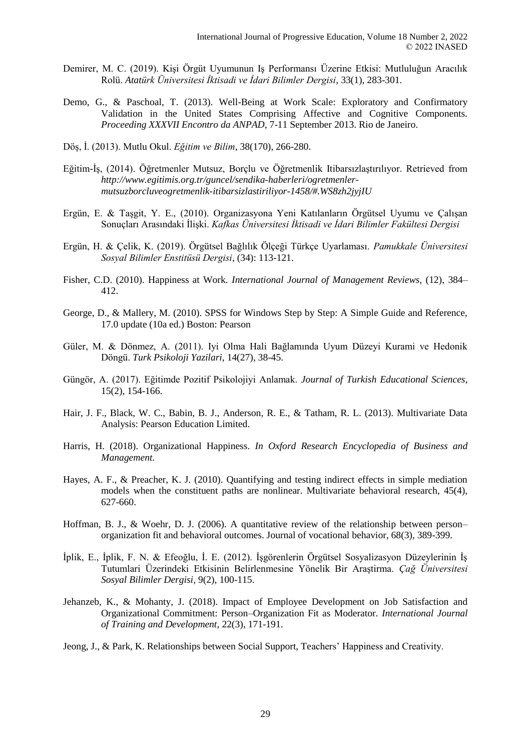- Demirer, M. C. (2019). Kişi Örgüt Uyumunun Iş Performansı Üzerine Etkisi: Mutluluğun Aracılık Rolü. *Atatürk Üniversitesi İktisadi ve İdari Bilimler Dergisi*, 33(1), 283-301.
- Demo, G., & Paschoal, T. (2013). Well-Being at Work Scale: Exploratory and Confirmatory Validation in the United States Comprising Affective and Cognitive Components. *Proceeding XXXVII Encontro da ANPAD*, 7-11 September 2013. Rio de Janeiro.
- Döş, İ. (2013). Mutlu Okul. *Eğitim ve Bilim*, 38(170), 266-280.
- Eğitim-İş, (2014). Öğretmenler Mutsuz, Borçlu ve Öğretmenlik Itibarsızlaştırılıyor. Retrieved from *http://www.egitimis.org.tr/guncel/sendika-haberleri/ogretmenlermutsuzborcluveogretmenlik-itibarsizlastiriliyor-1458/#.WS8zh2jyjIU*
- Ergün, E. & Taşgit, Y. E., (2010). Organizasyona Yeni Katılanların Örgütsel Uyumu ve Çalışan Sonuçları Arasındaki İlişki. *Kafkas Üniversitesi İktisadi ve İdari Bilimler Fakültesi Dergisi*
- Ergün, H. & Çelik, K. (2019). Örgütsel Bağlılık Ölçeği Türkçe Uyarlaması. *Pamukkale Üniversitesi Sosyal Bilimler Enstitüsü Dergisi*, (34): 113-121.
- Fisher, C.D. (2010). Happiness at Work. *International Journal of Management Reviews*, (12), 384– 412.
- George, D., & Mallery, M. (2010). SPSS for Windows Step by Step: A Simple Guide and Reference, 17.0 update (10a ed.) Boston: Pearson
- Güler, M. & Dönmez, A. (2011). Iyi Olma Hali Bağlamında Uyum Düzeyi Kurami ve Hedonik Döngü. *Turk Psikoloji Yazilari*, 14(27), 38-45.
- Güngör, A. (2017). Eğitimde Pozitif Psikolojiyi Anlamak. *Journal of Turkish Educational Sciences*, 15(2), 154-166.
- Hair, J. F., Black, W. C., Babin, B. J., Anderson, R. E., & Tatham, R. L. (2013). Multivariate Data Analysis: Pearson Education Limited.
- Harris, H. (2018). Organizational Happiness. *In Oxford Research Encyclopedia of Business and Management.*
- Hayes, A. F., & Preacher, K. J. (2010). Quantifying and testing indirect effects in simple mediation models when the constituent paths are nonlinear. Multivariate behavioral research, 45(4), 627-660.
- Hoffman, B. J., & Woehr, D. J. (2006). A quantitative review of the relationship between person– organization fit and behavioral outcomes. Journal of vocational behavior, 68(3), 389-399.
- İplik, E., İplik, F. N. & Efeoğlu, İ. E. (2012). İşgörenlerin Örgütsel Sosyalizasyon Düzeylerinin İş Tutumlari Üzerindeki Etkisinin Belirlenmesine Yönelik Bir Araştirma. *Çağ Üniversitesi Sosyal Bilimler Dergisi,* 9(2), 100-115.
- Jehanzeb, K., & Mohanty, J. (2018). Impact of Employee Development on Job Satisfaction and Organizational Commitment: Person–Organization Fit as Moderator. *International Journal of Training and Development*, 22(3), 171-191.
- Jeong, J., & Park, K. Relationships between Social Support, Teachers' Happiness and Creativity.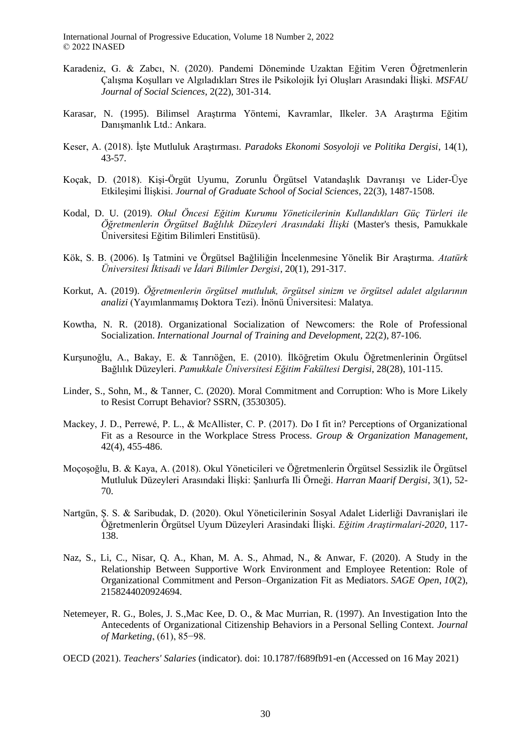- Karadeniz, G. & Zabcı, N. (2020). Pandemi Döneminde Uzaktan Eğitim Veren Öğretmenlerin Çalışma Koşulları ve Algıladıkları Stres ile Psikolojik İyi Oluşları Arasındaki İlişki. *MSFAU Journal of Social Sciences*, 2(22), 301-314.
- Karasar, N. (1995). Bilimsel Araştırma Yöntemi, Kavramlar, Ilkeler. 3A Araştırma Eğitim Danışmanlık Ltd.: Ankara.
- Keser, A. (2018). İşte Mutluluk Araştırması. *Paradoks Ekonomi Sosyoloji ve Politika Dergisi*, 14(1), 43-57.
- Koçak, D. (2018). Kişi-Örgüt Uyumu, Zorunlu Örgütsel Vatandaşlık Davranışı ve Lider-Üye Etkileşimi İlişkisi. *Journal of Graduate School of Social Sciences*, 22(3), 1487-1508.
- Kodal, D. U. (2019). *Okul Öncesi Eğitim Kurumu Yöneticilerinin Kullandıkları Güç Türleri ile Öğretmenlerin Örgütsel Bağlılık Düzeyleri Arasındaki İlişki* (Master's thesis, Pamukkale Üniversitesi Eğitim Bilimleri Enstitüsü).
- Kök, S. B. (2006). Iş Tatmini ve Örgütsel Bağliliğin İncelenmesine Yönelik Bir Araştırma. *Atatürk Üniversitesi İktisadi ve İdari Bilimler Dergisi*, 20(1), 291-317.
- Korkut, A. (2019). *Öğretmenlerin örgütsel mutluluk, örgütsel sinizm ve örgütsel adalet algılarının analizi* (Yayımlanmamış Doktora Tezi). İnönü Üniversitesi: Malatya.
- Kowtha, N. R. (2018). Organizational Socialization of Newcomers: the Role of Professional Socialization. *International Journal of Training and Development*, 22(2), 87-106.
- Kurşunoğlu, A., Bakay, E. & Tanrıöğen, E. (2010). İlköğretim Okulu Öğretmenlerinin Örgütsel Bağlılık Düzeyleri. *Pamukkale Üniversitesi Eğitim Fakültesi Dergisi*, 28(28), 101-115.
- Linder, S., Sohn, M., & Tanner, C. (2020). Moral Commitment and Corruption: Who is More Likely to Resist Corrupt Behavior? SSRN, (3530305).
- Mackey, J. D., Perrewé, P. L., & McAllister, C. P. (2017). Do I fit in? Perceptions of Organizational Fit as a Resource in the Workplace Stress Process. *Group & Organization Management*, 42(4), 455-486.
- Moçoşoğlu, B. & Kaya, A. (2018). Okul Yöneticileri ve Öğretmenlerin Örgütsel Sessizlik ile Örgütsel Mutluluk Düzeyleri Arasındaki İlişki: Şanlıurfa Ili Örneği. *Harran Maarif Dergisi*, 3(1), 52- 70.
- Nartgün, Ş. S. & Saribudak, D. (2020). Okul Yöneticilerinin Sosyal Adalet Liderliği Davranişlari ile Öğretmenlerin Örgütsel Uyum Düzeyleri Arasindaki İlişki. *Eğitim Araştirmalari-2020*, 117- 138.
- Naz, S., Li, C., Nisar, Q. A., Khan, M. A. S., Ahmad, N., & Anwar, F. (2020). A Study in the Relationship Between Supportive Work Environment and Employee Retention: Role of Organizational Commitment and Person–Organization Fit as Mediators. *SAGE Open*, *10*(2), 2158244020924694.
- Netemeyer, R. G., Boles, J. S.,Mac Kee, D. O., & Mac Murrian, R. (1997). An Investigation Into the Antecedents of Organizational Citizenship Behaviors in a Personal Selling Context. *Journal of Marketing*, (61), 85−98.
- OECD (2021). *Teachers' Salaries* (indicator). doi: 10.1787/f689fb91-en (Accessed on 16 May 2021)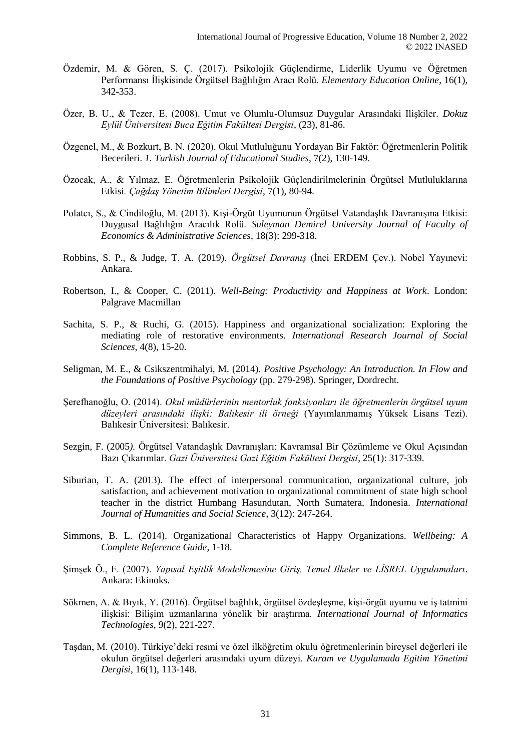- Özdemir, M. & Gören, S. Ç. (2017). Psikolojik Güçlendirme, Liderlik Uyumu ve Öğretmen Performansı İlişkisinde Örgütsel Bağlılığın Aracı Rolü. *Elementary Education Online*, 16(1), 342-353.
- Özer, B. U., & Tezer, E. (2008). Umut ve Olumlu-Olumsuz Duygular Arasındaki Ilişkiler. *Dokuz Eylül Üniversitesi Buca Eğitim Fakültesi Dergisi*, (23), 81-86.
- Özgenel, M., & Bozkurt, B. N. (2020). Okul Mutluluğunu Yordayan Bir Faktör: Öğretmenlerin Politik Becerileri. *1. Turkish Journal of Educational Studies*, 7(2), 130-149.
- Özocak, A., & Yılmaz, E. Öğretmenlerin Psikolojik Güçlendirilmelerinin Örgütsel Mutluluklarına Etkisi*. Çağdaş Yönetim Bilimleri Dergisi*, 7(1), 80-94.
- Polatcı, S., & Cindiloğlu, M. (2013). Kişi-Örgüt Uyumunun Örgütsel Vatandaşlık Davranışına Etkisi: Duygusal Bağlılığın Aracılık Rolü. *Suleyman Demirel University Journal of Faculty of Economics & Administrative Sciences*, 18(3): 299-318.
- Robbins, S. P., & Judge, T. A. (2019). *Örgütsel Davranış* (İnci ERDEM Çev.). Nobel Yayınevi: Ankara.
- Robertson, I., & Cooper, C. (2011). *Well-Being: Productivity and Happiness at Work*. London: Palgrave Macmillan
- Sachita, S. P., & Ruchi, G. (2015). Happiness and organizational socialization: Exploring the mediating role of restorative environments. *International Research Journal of Social Sciences*, 4(8), 15-20.
- Seligman, M. E., & Csikszentmihalyi, M. (2014). *Positive Psychology: An Introduction. In Flow and the Foundations of Positive Psychology* (pp. 279-298). Springer, Dordrecht.
- Şerefhanoğlu, O. (2014). *Okul müdürlerinin mentorluk fonksiyonları ile öğretmenlerin örgütsel uyum düzeyleri arasındaki ilişki: Balıkesir ili örneği* (Yayımlanmamış Yüksek Lisans Tezi). Balıkesir Üniversitesi: Balıkesir.
- Sezgin, F. (2005*).* Örgütsel Vatandaşlık Davranışları: Kavramsal Bir Çözümleme ve Okul Açısından Bazı Çıkarımlar. *Gazi Üniversitesi Gazi Eğitim Fakültesi Dergisi*, 25(1): 317-339.
- Siburian, T. A. (2013). The effect of interpersonal communication, organizational culture, job satisfaction, and achievement motivation to organizational commitment of state high school teacher in the district Humbang Hasundutan, North Sumatera, Indonesia. *International Journal of Humanities and Social Science*, 3(12): 247-264.
- Simmons, B. L. (2014). Organizational Characteristics of Happy Organizations. *Wellbeing: A Complete Reference Guide*, 1-18.
- Şimşek Ö., F. (2007). *Yapısal Eşitlik Modellemesine Giriş, Temel Ilkeler ve LİSREL Uygulamaları*. Ankara: Ekinoks.
- Sökmen, A. & Bıyık, Y. (2016). Örgütsel bağlılık, örgütsel özdeşleşme, kişi-örgüt uyumu ve iş tatmini ilişkisi: Bilişim uzmanlarına yönelik bir araştırma. *International Journal of Informatics Technologies*, 9(2), 221-227.
- Taşdan, M. (2010). Türkiye'deki resmi ve özel ilköğretim okulu öğretmenlerinin bireysel değerleri ile okulun örgütsel değerleri arasındaki uyum düzeyi. *Kuram ve Uygulamada Egitim Yönetimi Dergisi*, 16(1), 113-148.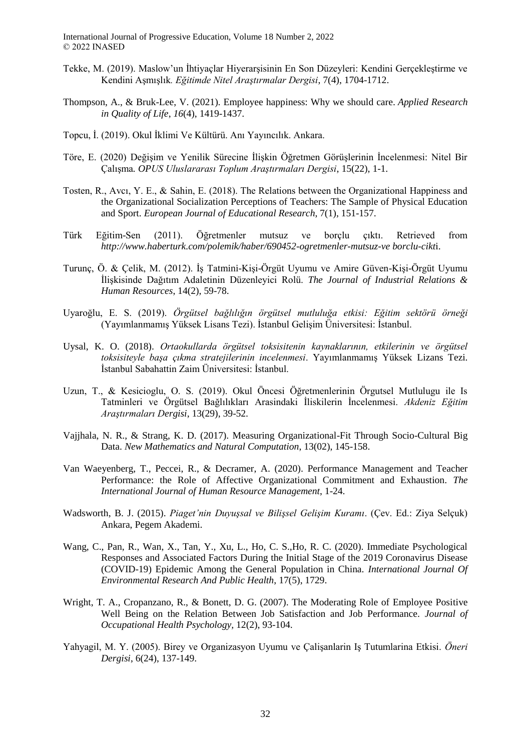- Tekke, M. (2019). Maslow'un İhtiyaçlar Hiyerarşisinin En Son Düzeyleri: Kendini Gerçekleştirme ve Kendini Aşmışlık*. Eğitimde Nitel Araştırmalar Dergisi*, 7(4), 1704-1712.
- Thompson, A., & Bruk-Lee, V. (2021). Employee happiness: Why we should care. *Applied Research in Quality of Life*, *16*(4), 1419-1437.
- Topcu, İ. (2019). Okul İklimi Ve Kültürü. Anı Yayıncılık. Ankara.
- Töre, E. (2020) Değişim ve Yenilik Sürecine İlişkin Öğretmen Görüşlerinin İncelenmesi: Nitel Bir Çalışma*. OPUS Uluslararası Toplum Araştırmaları Dergisi*, 15(22), 1-1.
- Tosten, R., Avcı, Y. E., & Sahin, E. (2018). The Relations between the Organizational Happiness and the Organizational Socialization Perceptions of Teachers: The Sample of Physical Education and Sport. *European Journal of Educational Research*, 7(1), 151-157.
- Türk Eğitim-Sen (2011). Öğretmenler mutsuz ve borçlu çıktı. Retrieved from *http://www.haberturk.com/polemik/haber/690452-ogretmenler-mutsuz-ve borclu-cikt*i.
- Turunç, Ö. & Çelik, M. (2012). İş Tatmini-Kişi-Örgüt Uyumu ve Amire Güven-Kişi-Örgüt Uyumu İlişkisinde Dağıtım Adaletinin Düzenleyici Rolü. *The Journal of Industrial Relations & Human Resources*, 14(2), 59-78.
- Uyaroğlu, E. S. (2019). *Örgütsel bağlılığın örgütsel mutluluğa etkisi: Eğitim sektörü örneği* (Yayımlanmamış Yüksek Lisans Tezi). İstanbul Gelişim Üniversitesi: İstanbul.
- Uysal, K. O. (2018). *Ortaokullarda örgütsel toksisitenin kaynaklarının, etkilerinin ve örgütsel toksisiteyle başa çıkma stratejilerinin incelenmesi*. Yayımlanmamış Yüksek Lizans Tezi. İstanbul Sabahattin Zaim Üniversitesi: İstanbul.
- Uzun, T., & Kesicioglu, O. S. (2019). Okul Öncesi Öğretmenlerinin Örgutsel Mutlulugu ile Is Tatminleri ve Örgütsel Bağlılıkları Arasindaki İliskilerin İncelenmesi. *Akdeniz Eğitim Araştırmaları Dergisi*, 13(29), 39-52.
- Vajjhala, N. R., & Strang, K. D. (2017). Measuring Organizational-Fit Through Socio-Cultural Big Data. *New Mathematics and Natural Computation*, 13(02), 145-158.
- Van Waeyenberg, T., Peccei, R., & Decramer, A. (2020). Performance Management and Teacher Performance: the Role of Affective Organizational Commitment and Exhaustion. *The International Journal of Human Resource Management*, 1-24.
- Wadsworth, B. J. (2015). *Piaget'nin Duyuşsal ve Bilişsel Gelişim Kuramı*. (Çev. Ed.: Ziya Selçuk) Ankara, Pegem Akademi.
- Wang, C., Pan, R., Wan, X., Tan, Y., Xu, L., Ho, C. S.,Ho, R. C. (2020). Immediate Psychological Responses and Associated Factors During the Initial Stage of the 2019 Coronavirus Disease (COVID-19) Epidemic Among the General Population in China. *International Journal Of Environmental Research And Public Health*, 17(5), 1729.
- Wright, T. A., Cropanzano, R., & Bonett, D. G. (2007). The Moderating Role of Employee Positive Well Being on the Relation Between Job Satisfaction and Job Performance. *Journal of Occupational Health Psychology,* 12(2), 93-104.
- Yahyagil, M. Y. (2005). Birey ve Organizasyon Uyumu ve Çalişanlarin Iş Tutumlarina Etkisi. *Öneri Dergisi*, 6(24), 137-149.